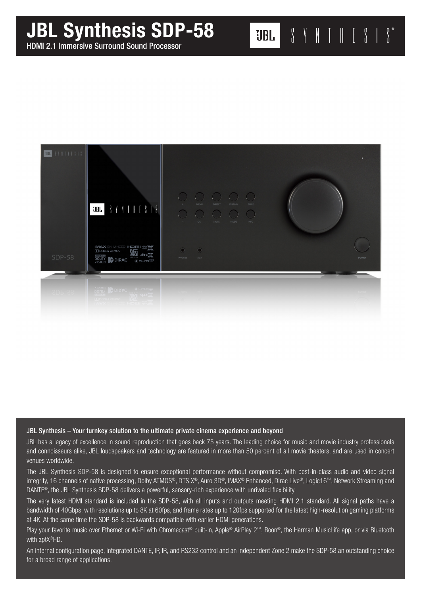## JBL Synthesis SDP-58

HDMI 2.1 Immersive Surround Sound Processor



**UBL** 

 $\begin{array}{ccccc} \textbf{0} & \textbf{1} & \textbf{1} & \textbf{1} & \textbf{1} & \textbf{1} & \textbf{1} & \textbf{1} & \textbf{1} & \textbf{1} & \textbf{1} & \textbf{1} & \textbf{1} & \textbf{1} & \textbf{1} & \textbf{1} & \textbf{1} & \textbf{1} & \textbf{1} & \textbf{1} & \textbf{1} & \textbf{1} & \textbf{1} & \textbf{1} & \textbf{1} & \textbf{1} & \textbf{1} & \textbf{1} & \textbf{1} & \textbf{1} & \text$ 

## JBL Synthesis – Your turnkey solution to the ultimate private cinema experience and beyond

**The dts** 

**TTI DOLBY ATMOS DIRAC** 

JBL has a legacy of excellence in sound reproduction that goes back 75 years. The leading choice for music and movie industry professionals and connoisseurs alike, JBL loudspeakers and technology are featured in more than 50 percent of all movie theaters, and are used in concert venues worldwide.

 $\bullet$ 

The JBL Synthesis SDP-58 is designed to ensure exceptional performance without compromise. With best-in-class audio and video signal integrity, 16 channels of native processing, Dolby ATMOS®, DTS:X®, Auro 3D®, IMAX® Enhanced, Dirac Live®, Logic16™, Network Streaming and DANTE<sup>®</sup>, the JBL Synthesis SDP-58 delivers a powerful, sensory-rich experience with unrivaled flexibility.

The very latest HDMI standard is included in the SDP-58, with all inputs and outputs meeting HDMI 2.1 standard. All signal paths have a bandwidth of 40Gbps, with resolutions up to 8K at 60fps, and frame rates up to 120fps supported for the latest high-resolution gaming platforms at 4K. At the same time the SDP-58 is backwards compatible with earlier HDMI generations.

Play your favorite music over Ethernet or Wi-Fi with Chromecast® built-in, Apple® AirPlay 2™, Roon®, the Harman MusicLife app, or via Bluetooth with aptX®HD.

An internal configuration page, integrated DANTE, IP, IR, and RS232 control and an independent Zone 2 make the SDP-58 an outstanding choice for a broad range of applications.